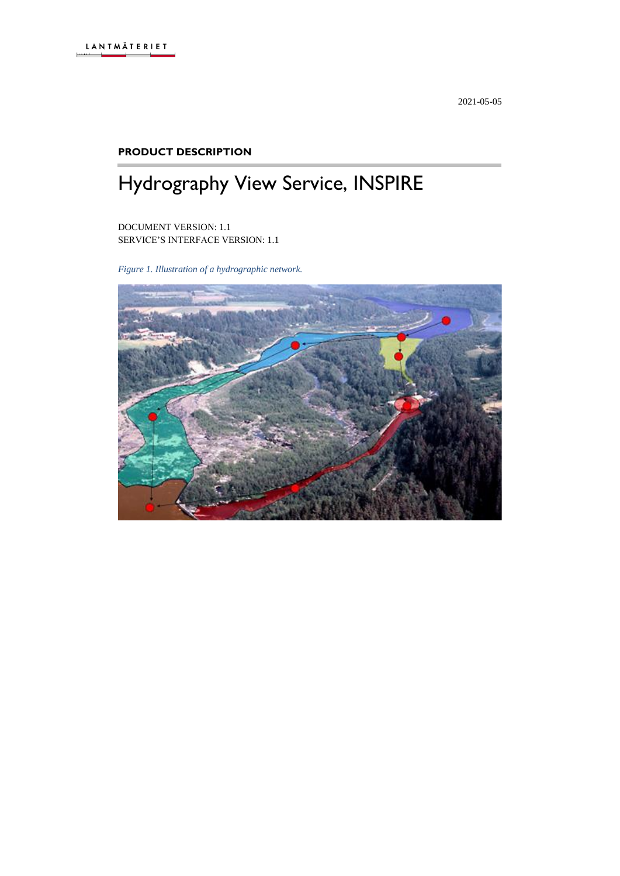2021-05-05

#### **PRODUCT DESCRIPTION**

# Hydrography View Service, INSPIRE

DOCUMENT VERSION: 1.1 SERVICE'S INTERFACE VERSION: 1.1

*Figure 1. Illustration of a hydrographic network.*

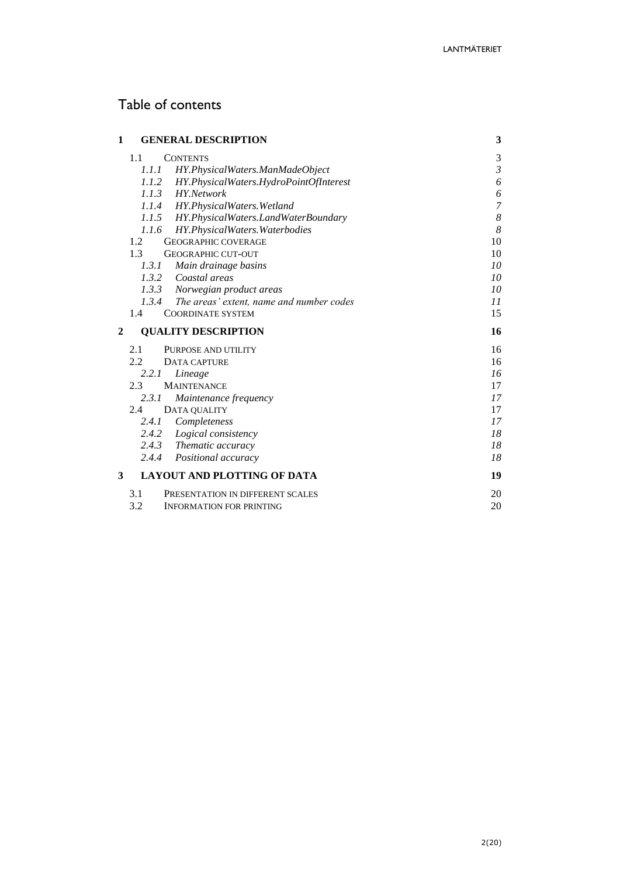# Table of contents

| 1            | <b>GENERAL DESCRIPTION</b>                        | 3              |
|--------------|---------------------------------------------------|----------------|
|              | 1.1<br><b>CONTENTS</b>                            | 3              |
|              | 1.1.1<br>HY.PhysicalWaters.ManMadeObject          | $\mathfrak{Z}$ |
|              | 1.1.2 HY.PhysicalWaters.HydroPointOfInterest      | 6              |
|              | 1.1.3 HY. Network                                 | 6              |
|              | 1.1.4 HY.PhysicalWaters.Wetland                   | 7              |
|              | 1.1.5 HY.PhysicalWaters.LandWaterBoundary         | 8              |
|              | HY.PhysicalWaters.Waterbodies<br>1.1.6            | 8              |
|              | <b>GEOGRAPHIC COVERAGE</b><br>1.2                 | 10             |
|              | 1.3<br><b>GEOGRAPHIC CUT-OUT</b>                  | 10             |
|              | 1.3.1<br>Main drainage basins                     | 10             |
|              | 1.3.2 Coastal areas                               | 10             |
|              | 1.3.3 Norwegian product areas                     | 10             |
|              | 1.3.4<br>The areas' extent, name and number codes | 11             |
|              | 1.4<br><b>COORDINATE SYSTEM</b>                   | 15             |
|              |                                                   |                |
| $\mathbf{2}$ | <b>QUALITY DESCRIPTION</b>                        | 16             |
|              | 2.1<br>PURPOSE AND UTILITY                        | 16             |
|              | 2.2.<br>DATA CAPTURE                              | 16             |
|              | 2.2.1<br>Lineage                                  | 16             |
|              | 2.3<br><b>MAINTENANCE</b>                         | 17             |
|              | 2.3.1<br>Maintenance frequency                    | 17             |
|              | DATA QUALITY<br>2.4                               | 17             |
|              | 2.4.1<br>Completeness                             | 17             |
|              | Logical consistency<br>2.4.2                      | 18             |
|              | 2.4.3 Thematic accuracy                           | 18             |
|              | 2.4.4 Positional accuracy                         | 18             |
| 3            | <b>LAYOUT AND PLOTTING OF DATA</b>                | 19             |
|              | 3.1<br>PRESENTATION IN DIFFERENT SCALES<br>3.2    | 20             |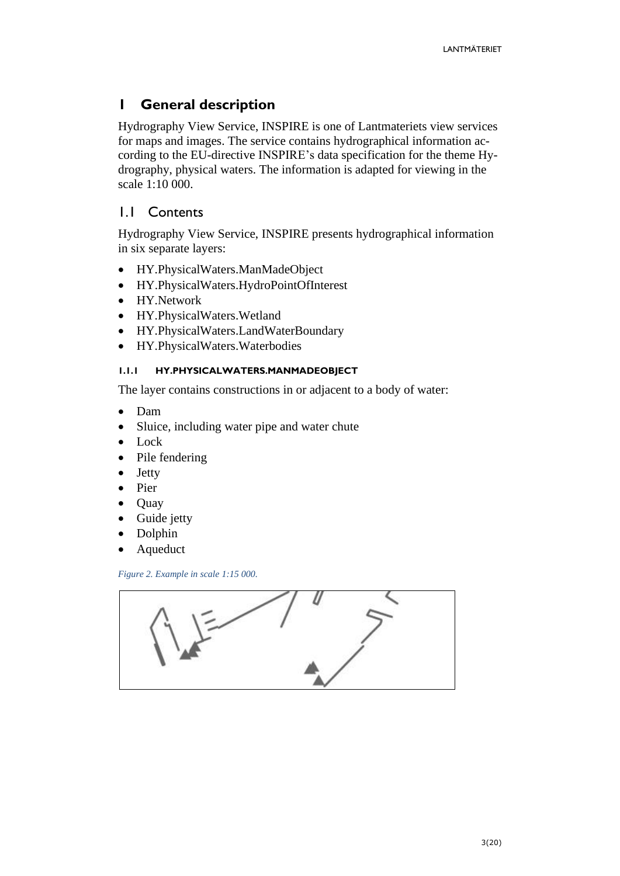# <span id="page-2-0"></span>**1 General description**

Hydrography View Service, INSPIRE is one of Lantmateriets view services for maps and images. The service contains hydrographical information according to the EU-directive INSPIRE's data specification for the theme Hydrography, physical waters. The information is adapted for viewing in the scale 1:10 000.

## <span id="page-2-1"></span>1.1 Contents

Hydrography View Service, INSPIRE presents hydrographical information in six separate layers:

- HY.PhysicalWaters.ManMadeObject
- HY.PhysicalWaters.HydroPointOfInterest
- HY.Network
- HY.PhysicalWaters.Wetland
- HY.PhysicalWaters.LandWaterBoundary
- HY.PhysicalWaters.Waterbodies

#### <span id="page-2-2"></span>**1.1.1 HY.PHYSICALWATERS.MANMADEOBJECT**

The layer contains constructions in or adjacent to a body of water:

- Dam
- Sluice, including water pipe and water chute
- Lock
- Pile fendering
- **Jetty**
- Pier
- Quay
- Guide jetty
- Dolphin
- Aqueduct

*Figure 2. Example in scale 1:15 000.*

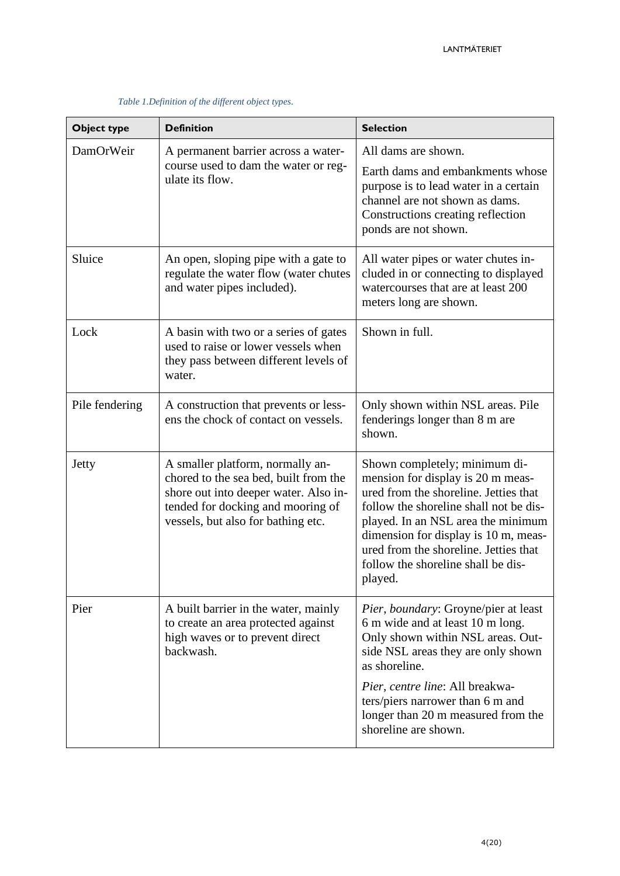| Object type    | <b>Definition</b>                                                                                                                                                                             | <b>Selection</b>                                                                                                                                                                                                                                                                                                              |
|----------------|-----------------------------------------------------------------------------------------------------------------------------------------------------------------------------------------------|-------------------------------------------------------------------------------------------------------------------------------------------------------------------------------------------------------------------------------------------------------------------------------------------------------------------------------|
| DamOrWeir      | A permanent barrier across a water-<br>course used to dam the water or reg-<br>ulate its flow.                                                                                                | All dams are shown.<br>Earth dams and embankments whose<br>purpose is to lead water in a certain<br>channel are not shown as dams.<br>Constructions creating reflection<br>ponds are not shown.                                                                                                                               |
| Sluice         | An open, sloping pipe with a gate to<br>regulate the water flow (water chutes<br>and water pipes included).                                                                                   | All water pipes or water chutes in-<br>cluded in or connecting to displayed<br>watercourses that are at least 200<br>meters long are shown.                                                                                                                                                                                   |
| Lock           | A basin with two or a series of gates<br>used to raise or lower vessels when<br>they pass between different levels of<br>water.                                                               | Shown in full.                                                                                                                                                                                                                                                                                                                |
| Pile fendering | A construction that prevents or less-<br>ens the chock of contact on vessels.                                                                                                                 | Only shown within NSL areas. Pile<br>fenderings longer than 8 m are<br>shown.                                                                                                                                                                                                                                                 |
| Jetty          | A smaller platform, normally an-<br>chored to the sea bed, built from the<br>shore out into deeper water. Also in-<br>tended for docking and mooring of<br>vessels, but also for bathing etc. | Shown completely; minimum di-<br>mension for display is 20 m meas-<br>ured from the shoreline. Jetties that<br>follow the shoreline shall not be dis-<br>played. In an NSL area the minimum<br>dimension for display is 10 m, meas-<br>ured from the shoreline. Jetties that<br>follow the shoreline shall be dis-<br>played. |
| Pier           | A built barrier in the water, mainly<br>to create an area protected against<br>high waves or to prevent direct<br>backwash.                                                                   | Pier, boundary: Groyne/pier at least<br>6 m wide and at least 10 m long.<br>Only shown within NSL areas. Out-<br>side NSL areas they are only shown<br>as shoreline.<br>Pier, centre line: All breakwa-<br>ters/piers narrower than 6 m and<br>longer than 20 m measured from the<br>shoreline are shown.                     |

*Table 1.Definition of the different object types.*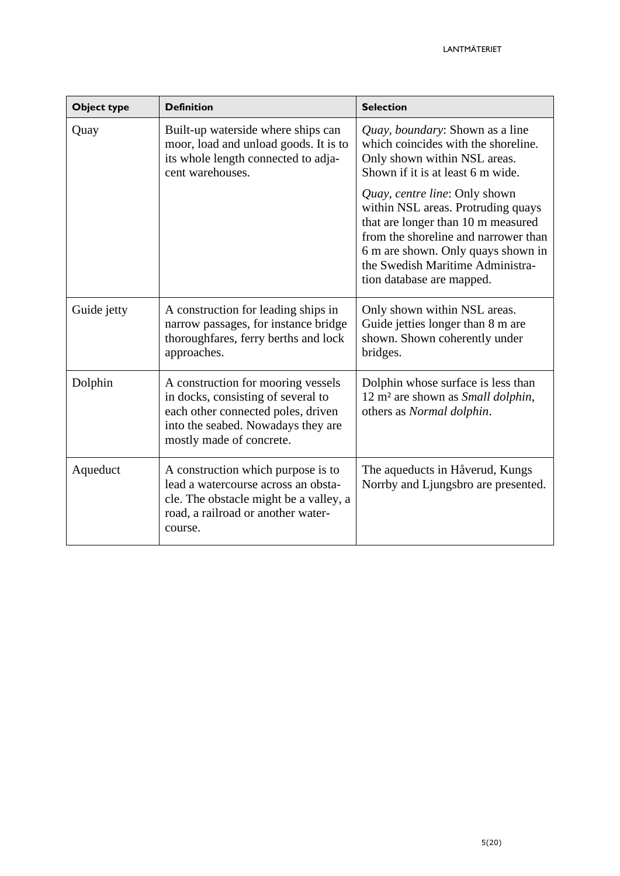| Object type | <b>Definition</b>                                                                                                                                                                | <b>Selection</b>                                                                                                                                                                                                                                         |
|-------------|----------------------------------------------------------------------------------------------------------------------------------------------------------------------------------|----------------------------------------------------------------------------------------------------------------------------------------------------------------------------------------------------------------------------------------------------------|
| Quay        | Built-up waterside where ships can<br>moor, load and unload goods. It is to<br>its whole length connected to adja-<br>cent warehouses.                                           | Quay, boundary: Shown as a line<br>which coincides with the shoreline.<br>Only shown within NSL areas.<br>Shown if it is at least 6 m wide.                                                                                                              |
|             |                                                                                                                                                                                  | Quay, centre line: Only shown<br>within NSL areas. Protruding quays<br>that are longer than 10 m measured<br>from the shoreline and narrower than<br>6 m are shown. Only quays shown in<br>the Swedish Maritime Administra-<br>tion database are mapped. |
| Guide jetty | A construction for leading ships in<br>narrow passages, for instance bridge<br>thoroughfares, ferry berths and lock<br>approaches.                                               | Only shown within NSL areas.<br>Guide jetties longer than 8 m are<br>shown. Shown coherently under<br>bridges.                                                                                                                                           |
| Dolphin     | A construction for mooring vessels<br>in docks, consisting of several to<br>each other connected poles, driven<br>into the seabed. Nowadays they are<br>mostly made of concrete. | Dolphin whose surface is less than<br>12 m <sup>2</sup> are shown as <i>Small dolphin</i> ,<br>others as Normal dolphin.                                                                                                                                 |
| Aqueduct    | A construction which purpose is to<br>lead a watercourse across an obsta-<br>cle. The obstacle might be a valley, a<br>road, a railroad or another water-<br>course.             | The aqueducts in Håverud, Kungs<br>Norrby and Ljungsbro are presented.                                                                                                                                                                                   |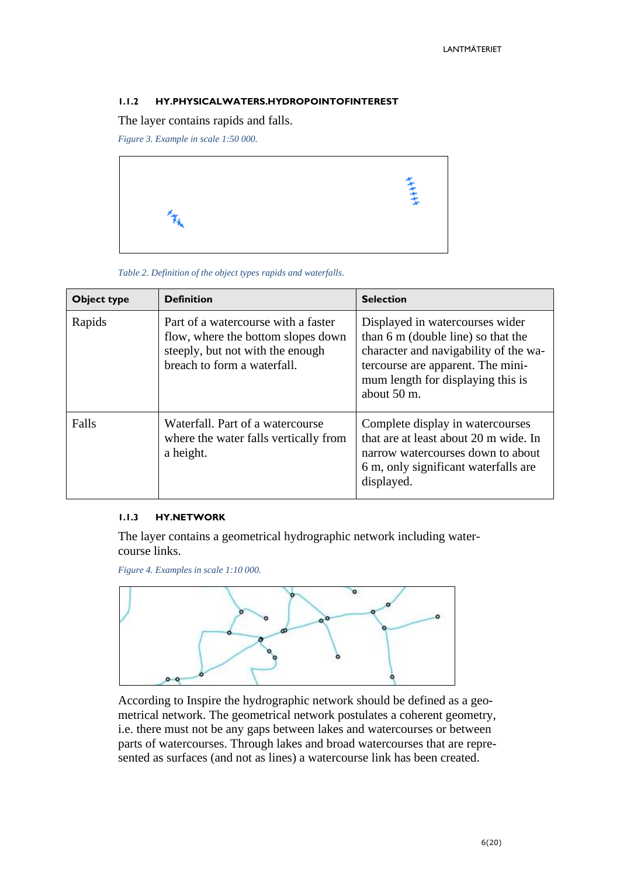#### <span id="page-5-0"></span>**1.1.2 HY.PHYSICALWATERS.HYDROPOINTOFINTEREST**

The layer contains rapids and falls.

*Figure 3. Example in scale 1:50 000.*



*Table 2. Definition of the object types rapids and waterfalls.*

| <b>Object type</b>                                                                              | <b>Definition</b>                                                                                                                            | <b>Selection</b>                                                                                                                                                                                        |
|-------------------------------------------------------------------------------------------------|----------------------------------------------------------------------------------------------------------------------------------------------|---------------------------------------------------------------------------------------------------------------------------------------------------------------------------------------------------------|
| Rapids                                                                                          | Part of a watercourse with a faster<br>flow, where the bottom slopes down<br>steeply, but not with the enough<br>breach to form a waterfall. | Displayed in watercourses wider<br>than 6 m (double line) so that the<br>character and navigability of the wa-<br>tercourse are apparent. The mini-<br>mum length for displaying this is<br>about 50 m. |
| Falls<br>Waterfall. Part of a watercourse<br>where the water falls vertically from<br>a height. |                                                                                                                                              | Complete display in watercourses<br>that are at least about 20 m wide. In<br>narrow watercourses down to about<br>6 m, only significant waterfalls are<br>displayed.                                    |

#### <span id="page-5-1"></span>**1.1.3 HY.NETWORK**

The layer contains a geometrical hydrographic network including watercourse links.

*Figure 4. Examples in scale 1:10 000.*



According to Inspire the hydrographic network should be defined as a geometrical network. The geometrical network postulates a coherent geometry, i.e. there must not be any gaps between lakes and watercourses or between parts of watercourses. Through lakes and broad watercourses that are represented as surfaces (and not as lines) a watercourse link has been created.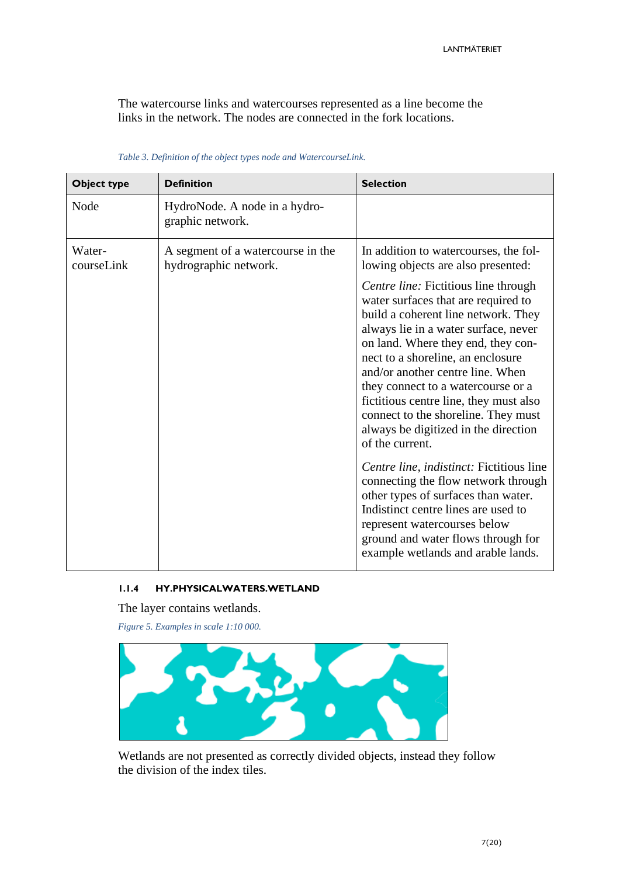The watercourse links and watercourses represented as a line become the links in the network. The nodes are connected in the fork locations.

| <b>Object type</b>   | <b>Definition</b>                                          | <b>Selection</b>                                                                                                                                                                                                                                                                                                                                                                                                                                            |
|----------------------|------------------------------------------------------------|-------------------------------------------------------------------------------------------------------------------------------------------------------------------------------------------------------------------------------------------------------------------------------------------------------------------------------------------------------------------------------------------------------------------------------------------------------------|
| Node                 | HydroNode. A node in a hydro-<br>graphic network.          |                                                                                                                                                                                                                                                                                                                                                                                                                                                             |
| Water-<br>courseLink | A segment of a watercourse in the<br>hydrographic network. | In addition to watercourses, the fol-<br>lowing objects are also presented:                                                                                                                                                                                                                                                                                                                                                                                 |
|                      |                                                            | Centre line: Fictitious line through<br>water surfaces that are required to<br>build a coherent line network. They<br>always lie in a water surface, never<br>on land. Where they end, they con-<br>nect to a shoreline, an enclosure<br>and/or another centre line. When<br>they connect to a watercourse or a<br>fictitious centre line, they must also<br>connect to the shoreline. They must<br>always be digitized in the direction<br>of the current. |
|                      |                                                            | Centre line, indistinct: Fictitious line<br>connecting the flow network through<br>other types of surfaces than water.<br>Indistinct centre lines are used to<br>represent watercourses below<br>ground and water flows through for<br>example wetlands and arable lands.                                                                                                                                                                                   |

#### *Table 3. Definition of the object types node and WatercourseLink.*

#### <span id="page-6-0"></span>**1.1.4 HY.PHYSICALWATERS.WETLAND**

The layer contains wetlands.

*Figure 5. Examples in scale 1:10 000.*



Wetlands are not presented as correctly divided objects, instead they follow the division of the index tiles.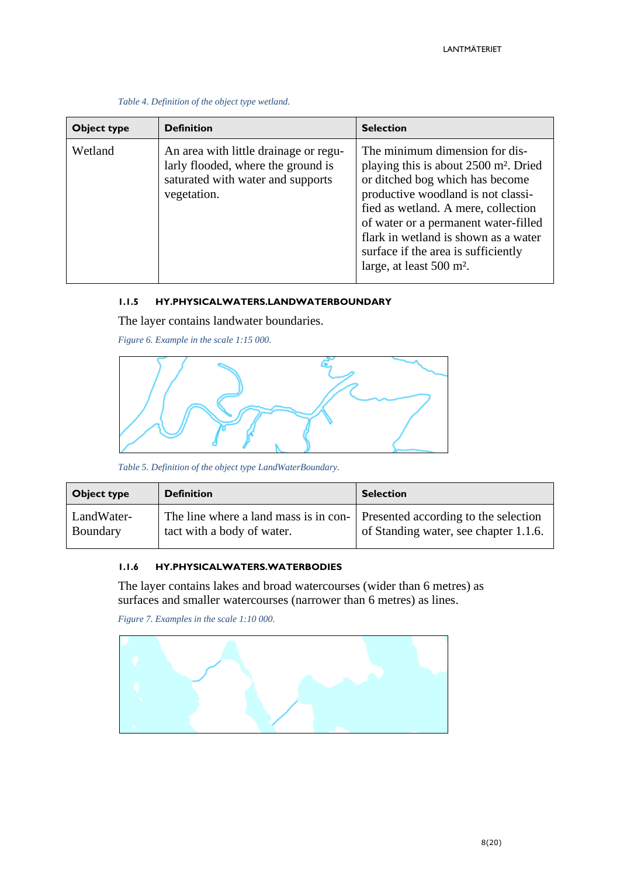| Object type | <b>Definition</b>                                                                                                               | <b>Selection</b>                                                                                                                                                                                                                                                                                                                                                   |
|-------------|---------------------------------------------------------------------------------------------------------------------------------|--------------------------------------------------------------------------------------------------------------------------------------------------------------------------------------------------------------------------------------------------------------------------------------------------------------------------------------------------------------------|
| Wetland     | An area with little drainage or regu-<br>larly flooded, where the ground is<br>saturated with water and supports<br>vegetation. | The minimum dimension for dis-<br>playing this is about 2500 m <sup>2</sup> . Dried<br>or ditched bog which has become<br>productive woodland is not classi-<br>fied as wetland. A mere, collection<br>of water or a permanent water-filled<br>flark in wetland is shown as a water<br>surface if the area is sufficiently<br>large, at least 500 m <sup>2</sup> . |

*Table 4. Definition of the object type wetland.*

#### <span id="page-7-0"></span>**1.1.5 HY.PHYSICALWATERS.LANDWATERBOUNDARY**

The layer contains landwater boundaries.

*Figure 6. Example in the scale 1:15 000.*



*Table 5. Definition of the object type LandWaterBoundary.*

| Object type | <b>Definition</b>                     | <b>Selection</b>                      |
|-------------|---------------------------------------|---------------------------------------|
| LandWater-  | The line where a land mass is in con- | Presented according to the selection  |
| Boundary    | tact with a body of water.            | of Standing water, see chapter 1.1.6. |

#### <span id="page-7-1"></span>**1.1.6 HY.PHYSICALWATERS.WATERBODIES**

The layer contains lakes and broad watercourses (wider than 6 metres) as surfaces and smaller watercourses (narrower than 6 metres) as lines.

*Figure 7. Examples in the scale 1:10 000.*

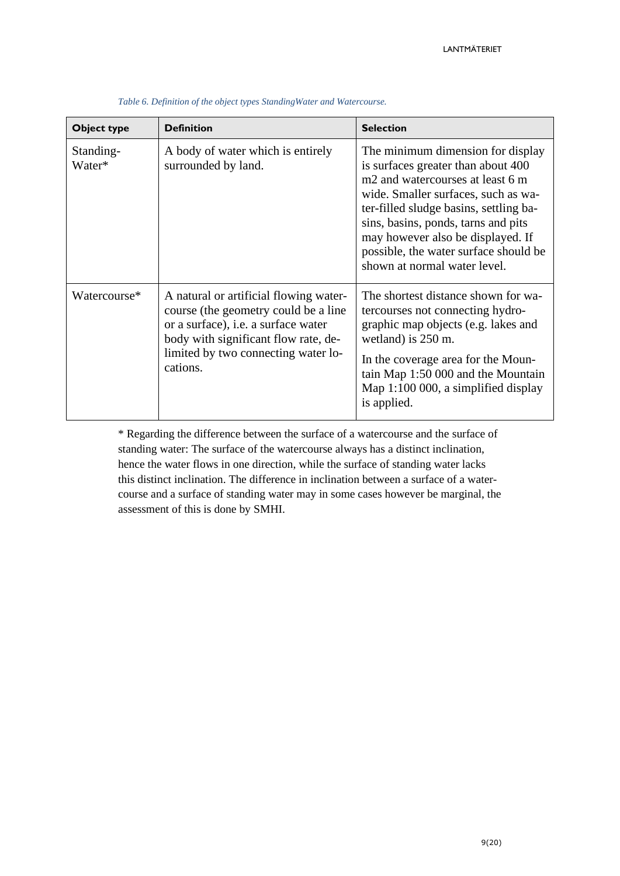| Object type         | <b>Definition</b>                                                                                                                                                                                                       | <b>Selection</b>                                                                                                                                                                                                                                                                                                                                              |
|---------------------|-------------------------------------------------------------------------------------------------------------------------------------------------------------------------------------------------------------------------|---------------------------------------------------------------------------------------------------------------------------------------------------------------------------------------------------------------------------------------------------------------------------------------------------------------------------------------------------------------|
| Standing-<br>Water* | A body of water which is entirely<br>surrounded by land.                                                                                                                                                                | The minimum dimension for display<br>is surfaces greater than about 400<br>m <sub>2</sub> and watercourses at least 6 m<br>wide. Smaller surfaces, such as wa-<br>ter-filled sludge basins, settling ba-<br>sins, basins, ponds, tarns and pits<br>may however also be displayed. If<br>possible, the water surface should be<br>shown at normal water level. |
| Watercourse*        | A natural or artificial flowing water-<br>course (the geometry could be a line<br>or a surface), <i>i.e.</i> a surface water<br>body with significant flow rate, de-<br>limited by two connecting water lo-<br>cations. | The shortest distance shown for wa-<br>tercourses not connecting hydro-<br>graphic map objects (e.g. lakes and<br>wetland) is 250 m.<br>In the coverage area for the Moun-<br>tain Map 1:50 000 and the Mountain<br>Map 1:100 000, a simplified display<br>is applied.                                                                                        |

*Table 6. Definition of the object types StandingWater and Watercourse.*

\* Regarding the difference between the surface of a watercourse and the surface of standing water: The surface of the watercourse always has a distinct inclination, hence the water flows in one direction, while the surface of standing water lacks this distinct inclination. The difference in inclination between a surface of a watercourse and a surface of standing water may in some cases however be marginal, the assessment of this is done by SMHI.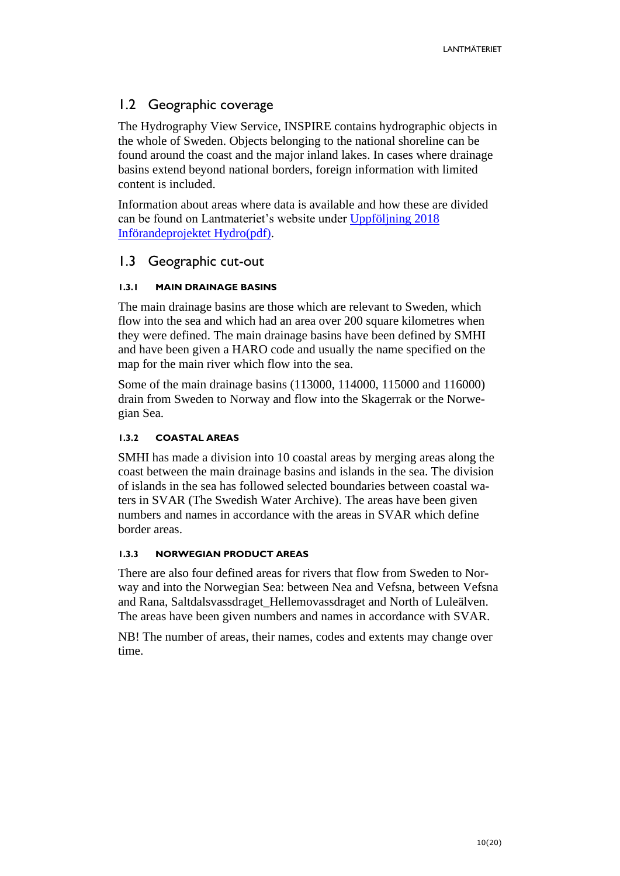# <span id="page-9-0"></span>1.2 Geographic coverage

The Hydrography View Service, INSPIRE contains hydrographic objects in the whole of Sweden. Objects belonging to the national shoreline can be found around the coast and the major inland lakes. In cases where drainage basins extend beyond national borders, foreign information with limited content is included.

Information about areas where data is available and how these are divided can be found on Lantmateriet's website under [Uppföljning 2018](https://www.lantmateriet.se/globalassets/om-lantmateriet/var-samverkan-med-andra/hydro_lev-klart.pdf)  [Införandeprojektet Hydro\(pdf\).](https://www.lantmateriet.se/globalassets/om-lantmateriet/var-samverkan-med-andra/hydro_lev-klart.pdf)

### <span id="page-9-1"></span>1.3 Geographic cut-out

### <span id="page-9-2"></span>**1.3.1 MAIN DRAINAGE BASINS**

The main drainage basins are those which are relevant to Sweden, which flow into the sea and which had an area over 200 square kilometres when they were defined. The main drainage basins have been defined by SMHI and have been given a HARO code and usually the name specified on the map for the main river which flow into the sea.

Some of the main drainage basins (113000, 114000, 115000 and 116000) drain from Sweden to Norway and flow into the Skagerrak or the Norwegian Sea.

#### <span id="page-9-3"></span>**1.3.2 COASTAL AREAS**

SMHI has made a division into 10 coastal areas by merging areas along the coast between the main drainage basins and islands in the sea. The division of islands in the sea has followed selected boundaries between coastal waters in SVAR (The Swedish Water Archive). The areas have been given numbers and names in accordance with the areas in SVAR which define border areas.

#### <span id="page-9-4"></span>**1.3.3 NORWEGIAN PRODUCT AREAS**

There are also four defined areas for rivers that flow from Sweden to Norway and into the Norwegian Sea: between Nea and Vefsna, between Vefsna and Rana, Saltdalsvassdraget\_Hellemovassdraget and North of Luleälven. The areas have been given numbers and names in accordance with SVAR.

NB! The number of areas, their names, codes and extents may change over time.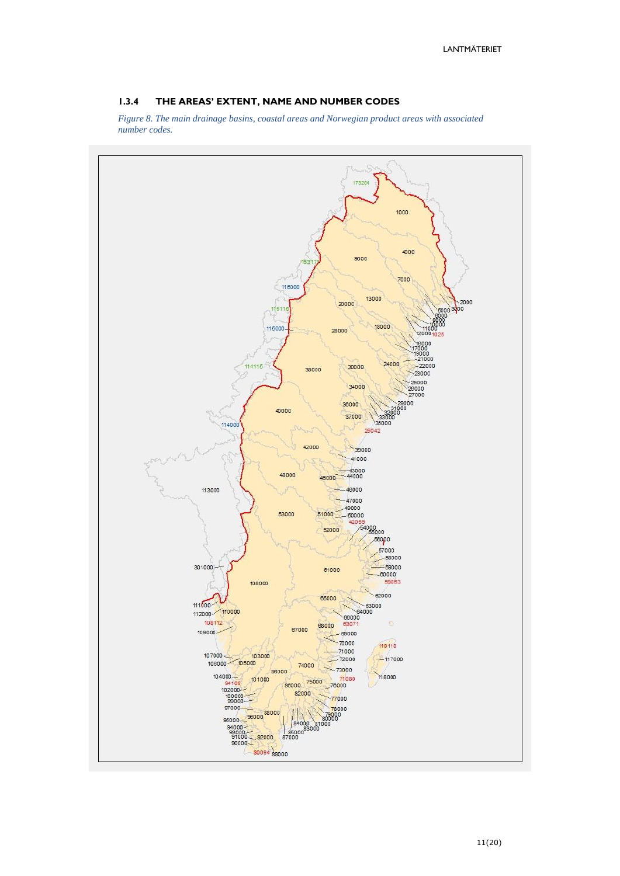#### <span id="page-10-0"></span>**1.3.4 THE AREAS' EXTENT, NAME AND NUMBER CODES**

*Figure 8. The main drainage basins, coastal areas and Norwegian product areas with associated number codes.*

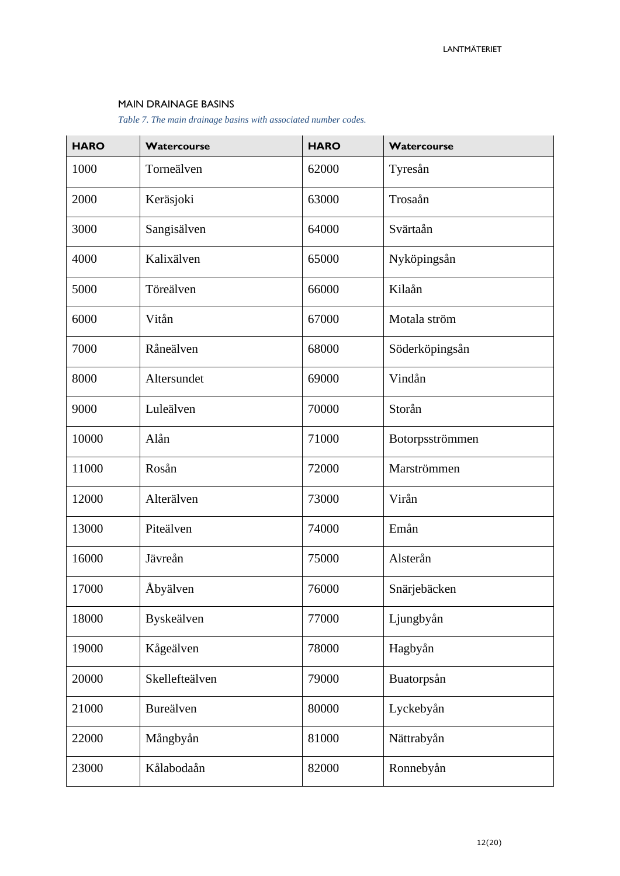#### MAIN DRAINAGE BASINS

*Table 7. The main drainage basins with associated number codes.*

| <b>HARO</b> | Watercourse    | <b>HARO</b> | Watercourse     |
|-------------|----------------|-------------|-----------------|
| 1000        | Torneälven     | 62000       | Tyresån         |
| 2000        | Keräsjoki      | 63000       | Trosaån         |
| 3000        | Sangisälven    | 64000       | Svärtaån        |
| 4000        | Kalixälven     | 65000       | Nyköpingsån     |
| 5000        | Töreälven      | 66000       | Kilaån          |
| 6000        | Vitån          | 67000       | Motala ström    |
| 7000        | Råneälven      | 68000       | Söderköpingsån  |
| 8000        | Altersundet    | 69000       | Vindån          |
| 9000        | Luleälven      | 70000       | Storån          |
| 10000       | Alån           | 71000       | Botorpsströmmen |
| 11000       | Rosån          | 72000       | Marströmmen     |
| 12000       | Alterälven     | 73000       | Virån           |
| 13000       | Piteälven      | 74000       | Emån            |
| 16000       | Jävreån        | 75000       | Alsterån        |
| 17000       | Åbyälven       | 76000       | Snärjebäcken    |
| 18000       | Byskeälven     | 77000       | Ljungbyån       |
| 19000       | Kågeälven      | 78000       | Hagbyån         |
| 20000       | Skellefteälven | 79000       | Buatorpsån      |
| 21000       | Bureälven      | 80000       | Lyckebyån       |
| 22000       | Mångbyån       | 81000       | Nättrabyån      |
| 23000       | Kålabodaån     | 82000       | Ronnebyån       |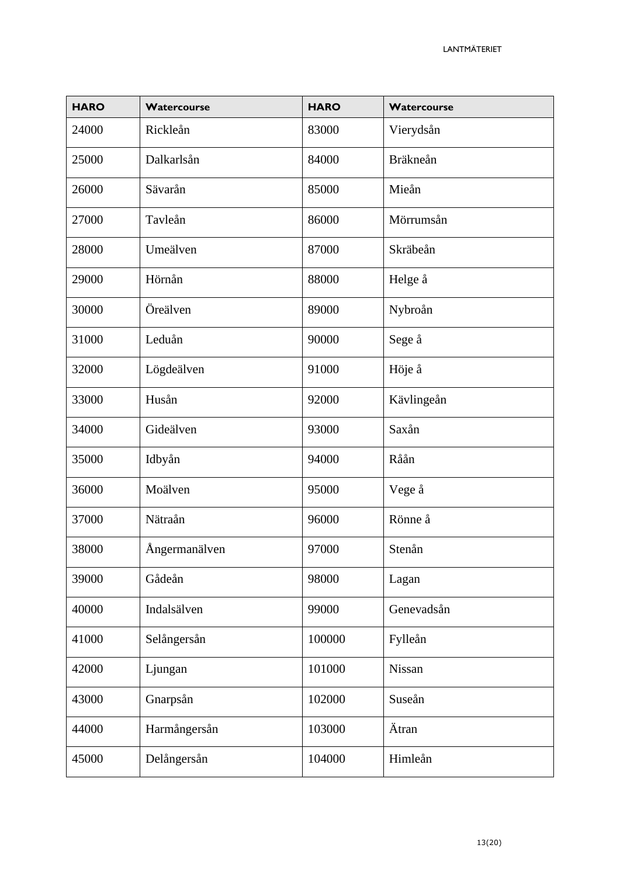| <b>HARO</b> | Watercourse   | <b>HARO</b> | Watercourse     |
|-------------|---------------|-------------|-----------------|
| 24000       | Rickleån      | 83000       | Vierydsån       |
| 25000       | Dalkarlsån    | 84000       | <b>Bräkneån</b> |
| 26000       | Sävarån       | 85000       | Mieån           |
| 27000       | Tavleån       | 86000       | Mörrumsån       |
| 28000       | Umeälven      | 87000       | Skräbeån        |
| 29000       | Hörnån        | 88000       | Helge å         |
| 30000       | Öreälven      | 89000       | Nybroån         |
| 31000       | Leduån        | 90000       | Sege å          |
| 32000       | Lögdeälven    | 91000       | Höje å          |
| 33000       | Husån         | 92000       | Kävlingeån      |
| 34000       | Gideälven     | 93000       | Saxån           |
| 35000       | Idbyån        | 94000       | Råån            |
| 36000       | Moälven       | 95000       | Vege å          |
| 37000       | Nätraån       | 96000       | Rönne å         |
| 38000       | Ångermanälven | 97000       | Stenån          |
| 39000       | Gådeån        | 98000       | Lagan           |
| 40000       | Indalsälven   | 99000       | Genevadsån      |
| 41000       | Selångersån   | 100000      | Fylleån         |
| 42000       | Ljungan       | 101000      | Nissan          |
| 43000       | Gnarpsån      | 102000      | Suseån          |
| 44000       | Harmångersån  | 103000      | Ätran           |
| 45000       | Delångersån   | 104000      | Himleån         |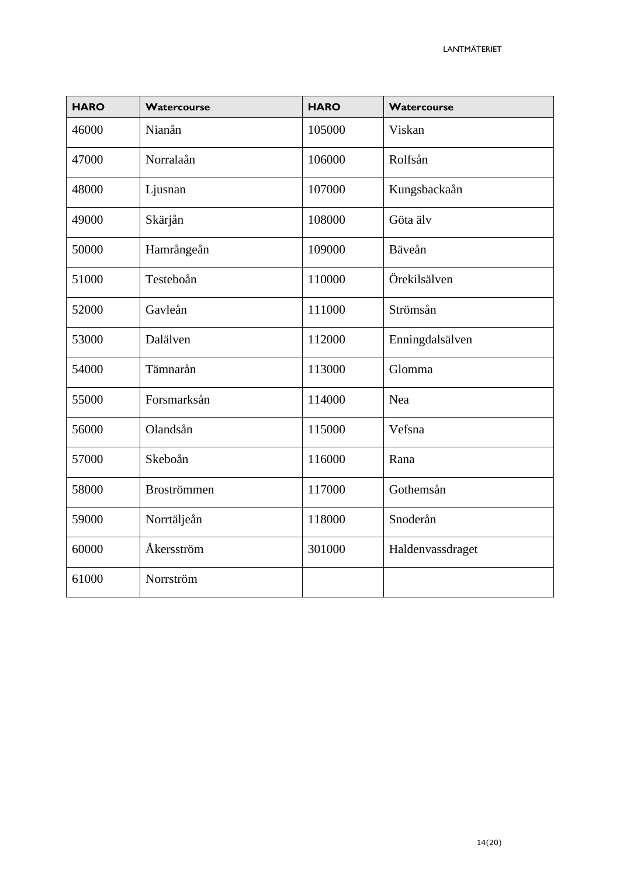| <b>HARO</b> | Watercourse        | <b>HARO</b> | Watercourse      |
|-------------|--------------------|-------------|------------------|
| 46000       | Nianån             | 105000      | Viskan           |
| 47000       | Norralaån          | 106000      | Rolfsån          |
| 48000       | Ljusnan            | 107000      | Kungsbackaån     |
| 49000       | Skärjån            | 108000      | Göta älv         |
| 50000       | Hamrångeån         | 109000      | Bäveån           |
| 51000       | Testeboån          | 110000      | Örekilsälven     |
| 52000       | Gavleån            | 111000      | Strömsån         |
| 53000       | Dalälven           | 112000      | Enningdalsälven  |
| 54000       | Tämnarån           | 113000      | Glomma           |
| 55000       | Forsmarksån        | 114000      | Nea              |
| 56000       | Olandsån           | 115000      | Vefsna           |
| 57000       | Skeboån            | 116000      | Rana             |
| 58000       | <b>Broströmmen</b> | 117000      | Gothemsån        |
| 59000       | Norrtäljeån        | 118000      | Snoderån         |
| 60000       | Åkersström         | 301000      | Haldenvassdraget |
| 61000       | Norrström          |             |                  |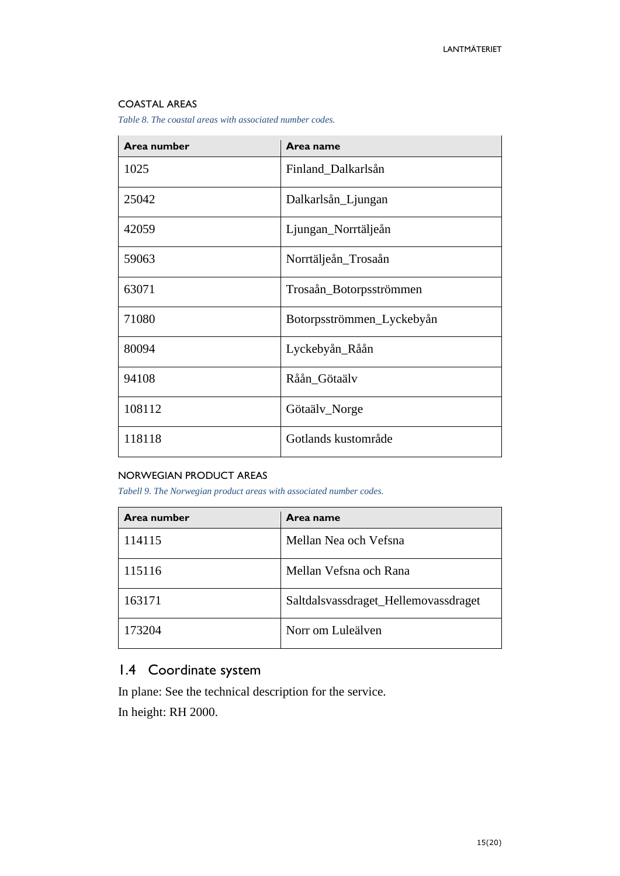#### COASTAL AREAS

*Table 8. The coastal areas with associated number codes.*

| Area number | Area name                 |
|-------------|---------------------------|
| 1025        | Finland_Dalkarlsån        |
| 25042       | Dalkarlsån_Ljungan        |
| 42059       | Ljungan_Norrtäljeån       |
| 59063       | Norrtäljeån_Trosaån       |
| 63071       | Trosaån_Botorpsströmmen   |
| 71080       | Botorpsströmmen_Lyckebyån |
| 80094       | Lyckebyån_Råån            |
| 94108       | Råån_Götaälv              |
| 108112      | Götaälv_Norge             |
| 118118      | Gotlands kustområde       |

#### NORWEGIAN PRODUCT AREAS

*Tabell 9. The Norwegian product areas with associated number codes.*

| Area number | Area name                            |
|-------------|--------------------------------------|
| 114115      | Mellan Nea och Vefsna                |
| 115116      | Mellan Vefsna och Rana               |
| 163171      | Saltdalsvassdraget_Hellemovassdraget |
| 173204      | Norr om Luleälven                    |

# <span id="page-14-0"></span>1.4 Coordinate system

In plane: See the technical description for the service. In height: RH 2000.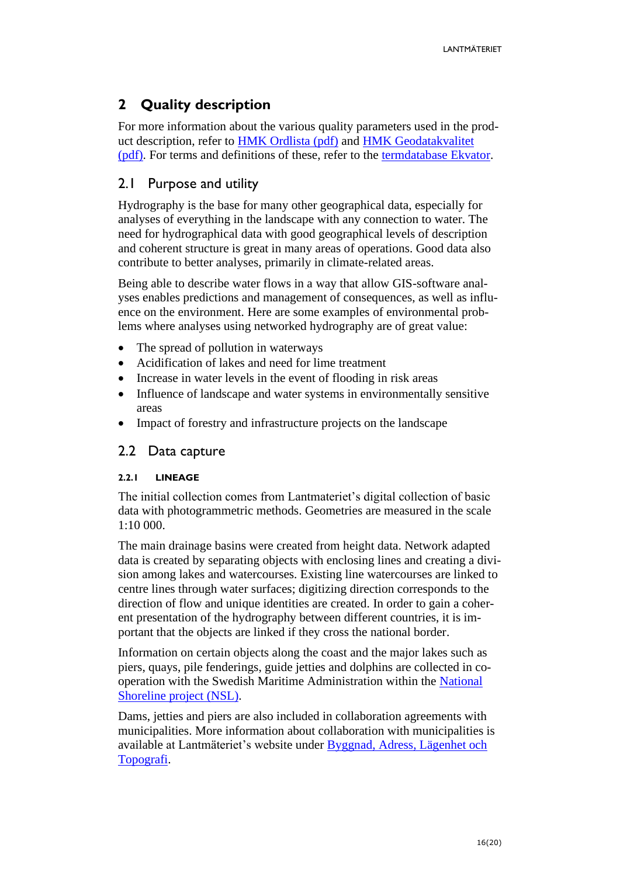# <span id="page-15-0"></span>**2 Quality description**

For more information about the various quality parameters used in the product description, refer to [HMK Ordlista \(pdf\)](https://www.lantmateriet.se/contentassets/96e6a20268f94f36959bd12e0700a581/hmk-ordlista_dec_2017.pdf) and [HMK Geodatakvalitet](https://www.lantmateriet.se/contentassets/96e6a20268f94f36959bd12e0700a581/hmk_geodatakvalitet_2017.pdf)  [\(pdf\).](https://www.lantmateriet.se/contentassets/96e6a20268f94f36959bd12e0700a581/hmk_geodatakvalitet_2017.pdf) For terms and definitions of these, refer to the [termdatabase Ekvator.](https://sis.termweb.se/termweb/app;jsessionid=01AC778778A3984915E1EC69F91FC1B5?service=direct/1/SearchView/$SearchViewBorder.$LogoutPanel.logout)

# <span id="page-15-1"></span>2.1 Purpose and utility

Hydrography is the base for many other geographical data, especially for analyses of everything in the landscape with any connection to water. The need for hydrographical data with good geographical levels of description and coherent structure is great in many areas of operations. Good data also contribute to better analyses, primarily in climate-related areas.

Being able to describe water flows in a way that allow GIS-software analyses enables predictions and management of consequences, as well as influence on the environment. Here are some examples of environmental problems where analyses using networked hydrography are of great value:

- The spread of pollution in waterways
- Acidification of lakes and need for lime treatment
- Increase in water levels in the event of flooding in risk areas
- Influence of landscape and water systems in environmentally sensitive areas
- Impact of forestry and infrastructure projects on the landscape

### <span id="page-15-2"></span>2.2 Data capture

#### <span id="page-15-3"></span>**2.2.1 LINEAGE**

The initial collection comes from Lantmateriet's digital collection of basic data with photogrammetric methods. Geometries are measured in the scale 1:10 000.

The main drainage basins were created from height data. Network adapted data is created by separating objects with enclosing lines and creating a division among lakes and watercourses. Existing line watercourses are linked to centre lines through water surfaces; digitizing direction corresponds to the direction of flow and unique identities are created. In order to gain a coherent presentation of the hydrography between different countries, it is important that the objects are linked if they cross the national border.

Information on certain objects along the coast and the major lakes such as piers, quays, pile fenderings, guide jetties and dolphins are collected in cooperation with the Swedish Maritime Administration within the [National](https://www.lantmateriet.se/sv/Om-Lantmateriet/Samverkan-med-andra/Nationell-strandlinje/)  [Shoreline project \(NSL\).](https://www.lantmateriet.se/sv/Om-Lantmateriet/Samverkan-med-andra/Nationell-strandlinje/)

Dams, jetties and piers are also included in collaboration agreements with municipalities. More information about collaboration with municipalities is available at Lantmäteriet's website under [Byggnad, Adress, Lägenhet och](https://www.lantmateriet.se/sv/Om-Lantmateriet/Samverkan-med-andra/Kommunsamverkan/Byggnad-Adress-Lagenhet-och-Topografi/)  [Topografi.](https://www.lantmateriet.se/sv/Om-Lantmateriet/Samverkan-med-andra/Kommunsamverkan/Byggnad-Adress-Lagenhet-och-Topografi/)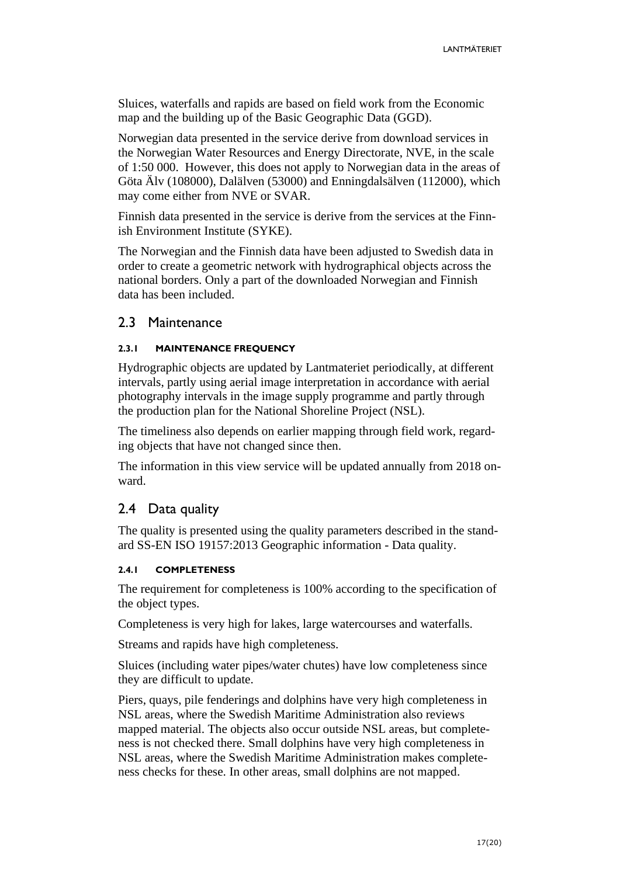Sluices, waterfalls and rapids are based on field work from the Economic map and the building up of the Basic Geographic Data (GGD).

Norwegian data presented in the service derive from download services in the Norwegian Water Resources and Energy Directorate, NVE, in the scale of 1:50 000. However, this does not apply to Norwegian data in the areas of Göta Älv (108000), Dalälven (53000) and Enningdalsälven (112000), which may come either from NVE or SVAR.

Finnish data presented in the service is derive from the services at the Finnish Environment Institute (SYKE).

The Norwegian and the Finnish data have been adjusted to Swedish data in order to create a geometric network with hydrographical objects across the national borders. Only a part of the downloaded Norwegian and Finnish data has been included.

#### <span id="page-16-0"></span>2.3 Maintenance

#### <span id="page-16-1"></span>**2.3.1 MAINTENANCE FREQUENCY**

Hydrographic objects are updated by Lantmateriet periodically, at different intervals, partly using aerial image interpretation in accordance with aerial photography intervals in the image supply programme and partly through the production plan for the National Shoreline Project (NSL).

The timeliness also depends on earlier mapping through field work, regarding objects that have not changed since then.

The information in this view service will be updated annually from 2018 onward.

### <span id="page-16-2"></span>2.4 Data quality

The quality is presented using the quality parameters described in the standard SS-EN ISO 19157:2013 Geographic information - Data quality.

#### <span id="page-16-3"></span>**2.4.1 COMPLETENESS**

The requirement for completeness is 100% according to the specification of the object types.

Completeness is very high for lakes, large watercourses and waterfalls.

Streams and rapids have high completeness.

Sluices (including water pipes/water chutes) have low completeness since they are difficult to update.

Piers, quays, pile fenderings and dolphins have very high completeness in NSL areas, where the Swedish Maritime Administration also reviews mapped material. The objects also occur outside NSL areas, but completeness is not checked there. Small dolphins have very high completeness in NSL areas, where the Swedish Maritime Administration makes completeness checks for these. In other areas, small dolphins are not mapped.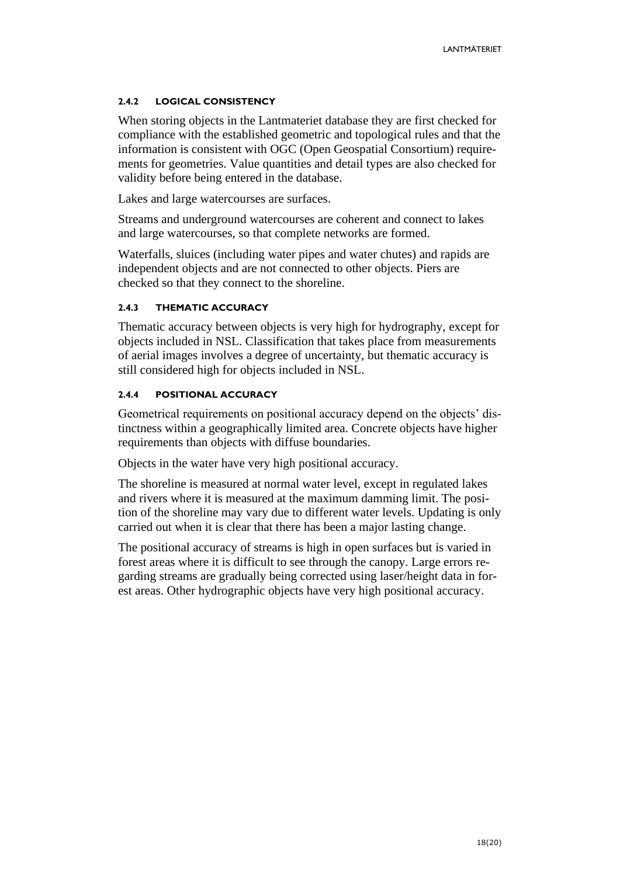#### <span id="page-17-0"></span>**2.4.2 LOGICAL CONSISTENCY**

When storing objects in the Lantmateriet database they are first checked for compliance with the established geometric and topological rules and that the information is consistent with OGC (Open Geospatial Consortium) requirements for geometries. Value quantities and detail types are also checked for validity before being entered in the database.

Lakes and large watercourses are surfaces.

Streams and underground watercourses are coherent and connect to lakes and large watercourses, so that complete networks are formed.

Waterfalls, sluices (including water pipes and water chutes) and rapids are independent objects and are not connected to other objects. Piers are checked so that they connect to the shoreline.

#### <span id="page-17-1"></span>**2.4.3 THEMATIC ACCURACY**

Thematic accuracy between objects is very high for hydrography, except for objects included in NSL. Classification that takes place from measurements of aerial images involves a degree of uncertainty, but thematic accuracy is still considered high for objects included in NSL.

#### <span id="page-17-2"></span>**2.4.4 POSITIONAL ACCURACY**

Geometrical requirements on positional accuracy depend on the objects' distinctness within a geographically limited area. Concrete objects have higher requirements than objects with diffuse boundaries.

Objects in the water have very high positional accuracy.

The shoreline is measured at normal water level, except in regulated lakes and rivers where it is measured at the maximum damming limit. The position of the shoreline may vary due to different water levels. Updating is only carried out when it is clear that there has been a major lasting change.

The positional accuracy of streams is high in open surfaces but is varied in forest areas where it is difficult to see through the canopy. Large errors regarding streams are gradually being corrected using laser/height data in forest areas. Other hydrographic objects have very high positional accuracy.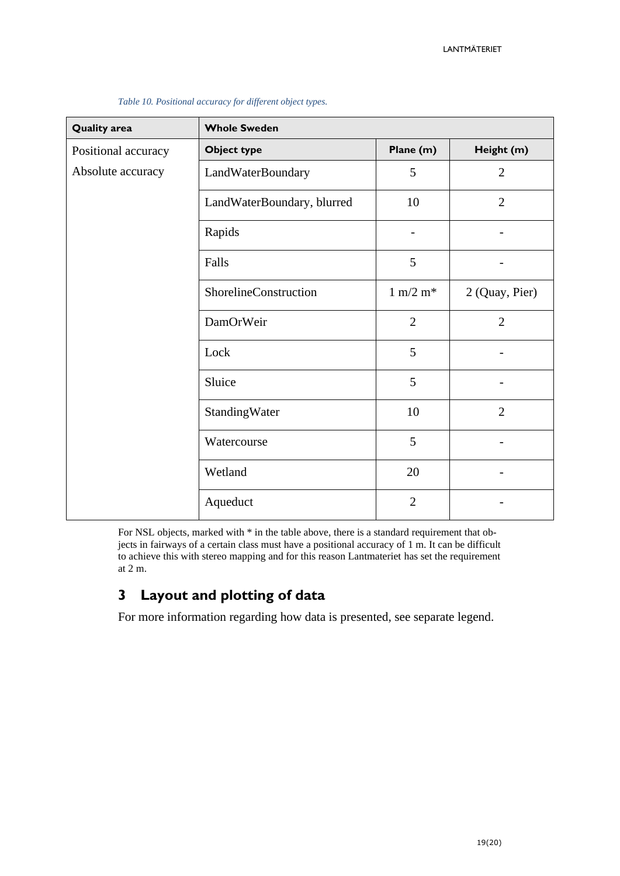| <b>Quality area</b> | <b>Whole Sweden</b>        |                             |                |
|---------------------|----------------------------|-----------------------------|----------------|
| Positional accuracy | <b>Object type</b>         | Plane (m)                   | Height (m)     |
| Absolute accuracy   | LandWaterBoundary          | 5                           | $\overline{2}$ |
|                     | LandWaterBoundary, blurred | 10                          | $\overline{2}$ |
|                     | Rapids                     |                             |                |
|                     | Falls                      | 5                           |                |
|                     | ShorelineConstruction      | $1 \text{ m}/2 \text{ m}^*$ | 2 (Quay, Pier) |
|                     | DamOrWeir                  | $\overline{2}$              | $\overline{2}$ |
|                     | Lock                       | 5                           |                |
|                     | Sluice                     | 5                           |                |
|                     | StandingWater              | 10                          | $\overline{2}$ |
|                     | Watercourse                | 5                           |                |
|                     | Wetland                    | 20                          |                |
|                     | Aqueduct                   | $\overline{2}$              |                |

*Table 10. Positional accuracy for different object types.*

For NSL objects, marked with  $*$  in the table above, there is a standard requirement that objects in fairways of a certain class must have a positional accuracy of 1 m. It can be difficult to achieve this with stereo mapping and for this reason Lantmateriet has set the requirement at 2 m.

# <span id="page-18-0"></span>**3 Layout and plotting of data**

For more information regarding how data is presented, see separate legend.